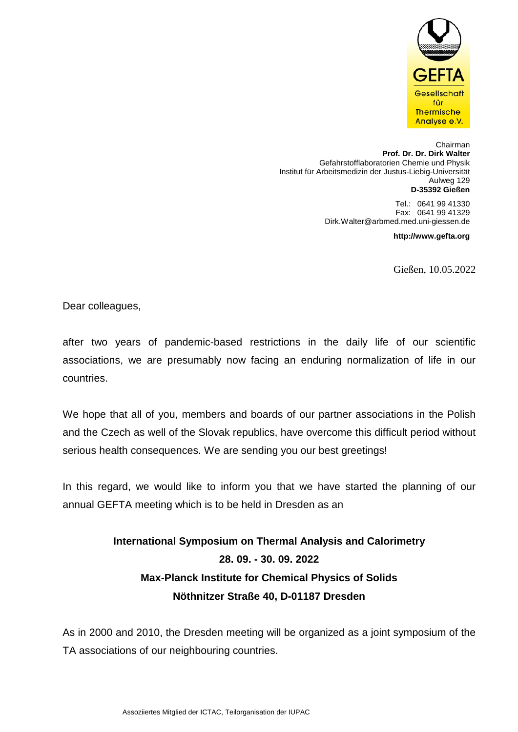

Chairman **Prof. Dr. Dr. Dirk Walter**  Gefahrstofflaboratorien Chemie und Physik Institut für Arbeitsmedizin der Justus-Liebig-Universität Aulweg 129 **D-35392 Gießen**

> Tel.: 0641 99 41330 Fax: 0641 99 41329 Dirk.Walter@arbmed.med.uni-giessen.de

> > **http://www.gefta.org**

Gießen, 10.05.2022

Dear colleagues,

after two years of pandemic-based restrictions in the daily life of our scientific associations, we are presumably now facing an enduring normalization of life in our countries.

We hope that all of you, members and boards of our partner associations in the Polish and the Czech as well of the Slovak republics, have overcome this difficult period without serious health consequences. We are sending you our best greetings!

In this regard, we would like to inform you that we have started the planning of our annual GEFTA meeting which is to be held in Dresden as an

> **International Symposium on Thermal Analysis and Calorimetry 28. 09. - 30. 09. 2022 Max-Planck Institute for Chemical Physics of Solids Nöthnitzer Straße 40, D-01187 Dresden**

As in 2000 and 2010, the Dresden meeting will be organized as a joint symposium of the TA associations of our neighbouring countries.